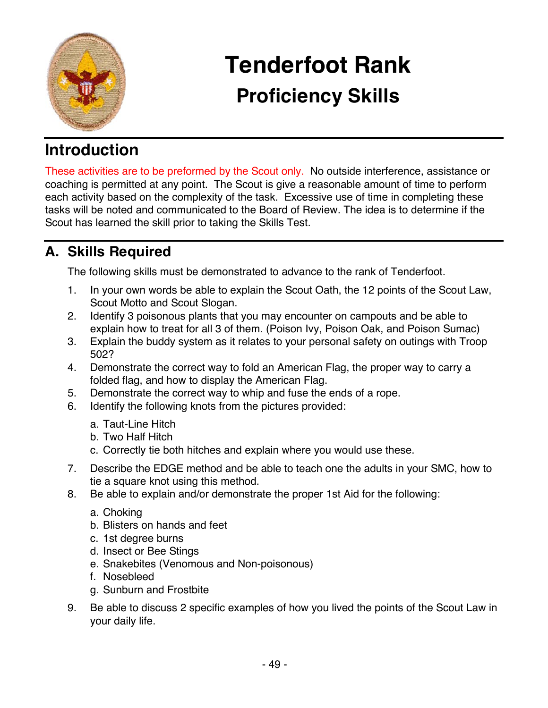

# **Tenderfoot Rank Proficiency Skills**

## **Introduction**

These activities are to be preformed by the Scout only. No outside interference, assistance or coaching is permitted at any point. The Scout is give a reasonable amount of time to perform each activity based on the complexity of the task. Excessive use of time in completing these tasks will be noted and communicated to the Board of Review. The idea is to determine if the Scout has learned the skill prior to taking the Skills Test.

### **A. Skills Required**

The following skills must be demonstrated to advance to the rank of Tenderfoot.

- 1. In your own words be able to explain the Scout Oath, the 12 points of the Scout Law, Scout Motto and Scout Slogan.
- 2. Identify 3 poisonous plants that you may encounter on campouts and be able to explain how to treat for all 3 of them. (Poison Ivy, Poison Oak, and Poison Sumac)
- 3. Explain the buddy system as it relates to your personal safety on outings with Troop 502?
- 4. Demonstrate the correct way to fold an American Flag, the proper way to carry a folded flag, and how to display the American Flag.
- 5. Demonstrate the correct way to whip and fuse the ends of a rope.
- 6. Identify the following knots from the pictures provided:
	- a. Taut-Line Hitch
	- b. Two Half Hitch
	- c. Correctly tie both hitches and explain where you would use these.
- 7. Describe the EDGE method and be able to teach one the adults in your SMC, how to tie a square knot using this method.
- 8. Be able to explain and/or demonstrate the proper 1st Aid for the following:
	- a. Choking
	- b. Blisters on hands and feet
	- c. 1st degree burns
	- d. Insect or Bee Stings
	- e. Snakebites (Venomous and Non-poisonous)
	- f. Nosebleed
	- g. Sunburn and Frostbite
- 9. Be able to discuss 2 specific examples of how you lived the points of the Scout Law in your daily life.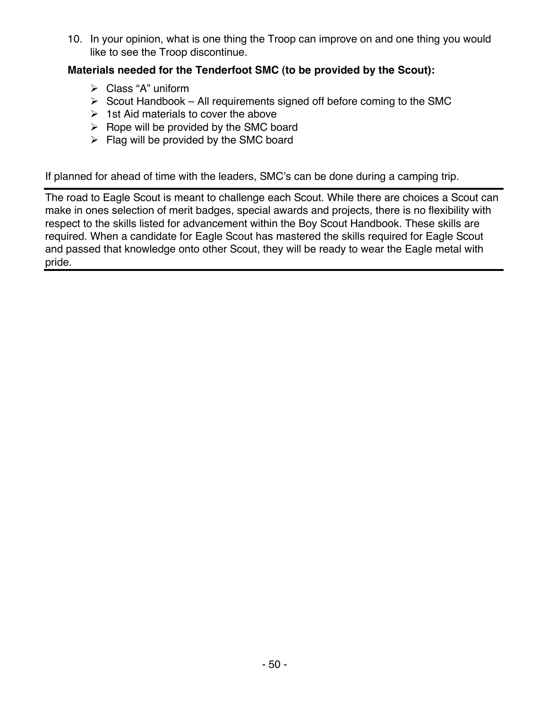10. In your opinion, what is one thing the Troop can improve on and one thing you would like to see the Troop discontinue.

#### **Materials needed for the Tenderfoot SMC (to be provided by the Scout):**

- $\triangleright$  Class "A" uniform
- $\triangleright$  Scout Handbook All requirements signed off before coming to the SMC
- $\geq$  1st Aid materials to cover the above
- $\triangleright$  Rope will be provided by the SMC board
- $\triangleright$  Flag will be provided by the SMC board

If planned for ahead of time with the leaders, SMC's can be done during a camping trip.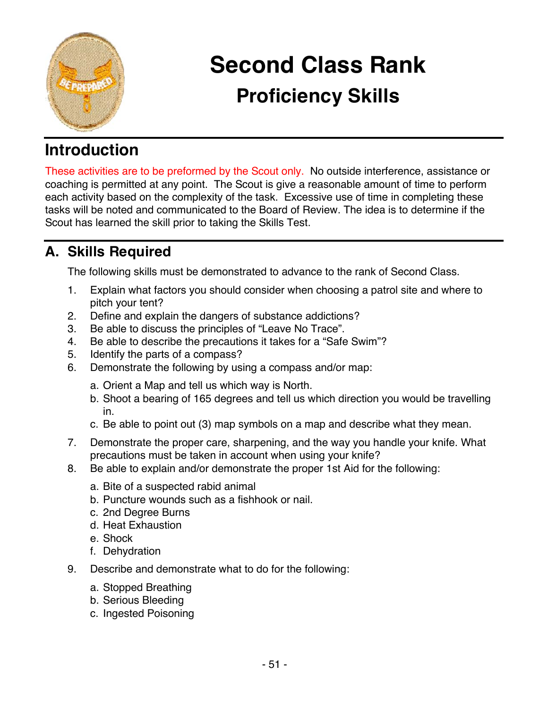

# **Second Class Rank Proficiency Skills**

## **Introduction**

These activities are to be preformed by the Scout only. No outside interference, assistance or coaching is permitted at any point. The Scout is give a reasonable amount of time to perform each activity based on the complexity of the task. Excessive use of time in completing these tasks will be noted and communicated to the Board of Review. The idea is to determine if the Scout has learned the skill prior to taking the Skills Test.

### **A. Skills Required**

The following skills must be demonstrated to advance to the rank of Second Class.

- 1. Explain what factors you should consider when choosing a patrol site and where to pitch your tent?
- 2. Define and explain the dangers of substance addictions?
- 3. Be able to discuss the principles of "Leave No Trace".
- 4. Be able to describe the precautions it takes for a "Safe Swim"?
- 5. Identify the parts of a compass?
- 6. Demonstrate the following by using a compass and/or map:
	- a. Orient a Map and tell us which way is North.
	- b. Shoot a bearing of 165 degrees and tell us which direction you would be travelling in.
	- c. Be able to point out (3) map symbols on a map and describe what they mean.
- 7. Demonstrate the proper care, sharpening, and the way you handle your knife. What precautions must be taken in account when using your knife?
- 8. Be able to explain and/or demonstrate the proper 1st Aid for the following:
	- a. Bite of a suspected rabid animal
	- b. Puncture wounds such as a fishhook or nail.
	- c. 2nd Degree Burns
	- d. Heat Exhaustion
	- e. Shock
	- f. Dehydration
- 9. Describe and demonstrate what to do for the following:
	- a. Stopped Breathing
	- b. Serious Bleeding
	- c. Ingested Poisoning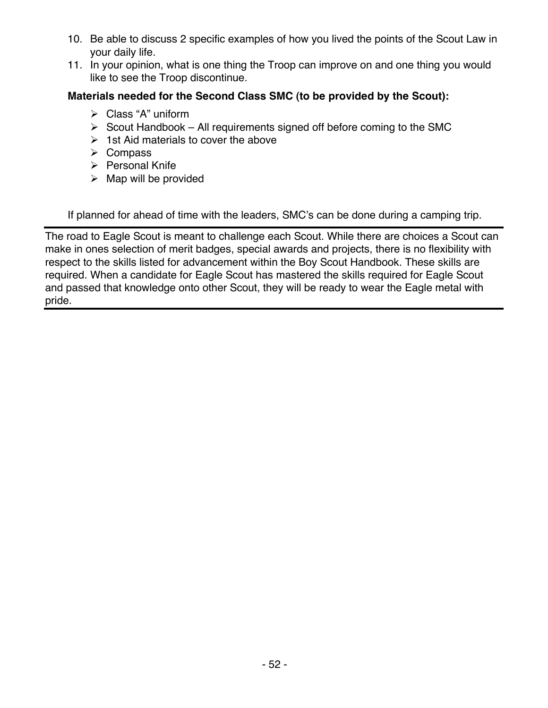- 10. Be able to discuss 2 specific examples of how you lived the points of the Scout Law in your daily life.
- 11. In your opinion, what is one thing the Troop can improve on and one thing you would like to see the Troop discontinue.

#### **Materials needed for the Second Class SMC (to be provided by the Scout):**

- $\triangleright$  Class "A" uniform
- $\triangleright$  Scout Handbook All requirements signed off before coming to the SMC
- $\geq$  1st Aid materials to cover the above
- $\triangleright$  Compass
- $\triangleright$  Personal Knife
- $\triangleright$  Map will be provided

If planned for ahead of time with the leaders, SMC's can be done during a camping trip.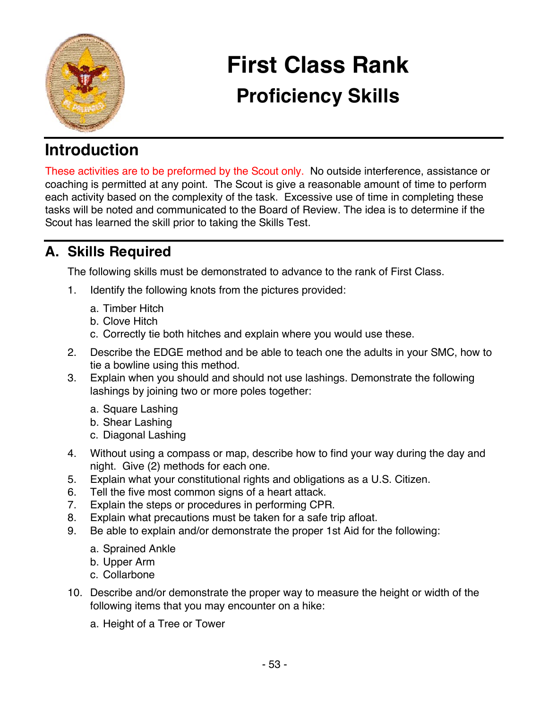

# **First Class Rank Proficiency Skills**

## **Introduction**

These activities are to be preformed by the Scout only. No outside interference, assistance or coaching is permitted at any point. The Scout is give a reasonable amount of time to perform each activity based on the complexity of the task. Excessive use of time in completing these tasks will be noted and communicated to the Board of Review. The idea is to determine if the Scout has learned the skill prior to taking the Skills Test.

### **A. Skills Required**

The following skills must be demonstrated to advance to the rank of First Class.

- 1. Identify the following knots from the pictures provided:
	- a. Timber Hitch
	- b. Clove Hitch
	- c. Correctly tie both hitches and explain where you would use these.
- 2. Describe the EDGE method and be able to teach one the adults in your SMC, how to tie a bowline using this method.
- 3. Explain when you should and should not use lashings. Demonstrate the following lashings by joining two or more poles together:
	- a. Square Lashing
	- b. Shear Lashing
	- c. Diagonal Lashing
- 4. Without using a compass or map, describe how to find your way during the day and night. Give (2) methods for each one.
- 5. Explain what your constitutional rights and obligations as a U.S. Citizen.
- 6. Tell the five most common signs of a heart attack.
- 7. Explain the steps or procedures in performing CPR.
- 8. Explain what precautions must be taken for a safe trip afloat.
- 9. Be able to explain and/or demonstrate the proper 1st Aid for the following:
	- a. Sprained Ankle
	- b. Upper Arm
	- c. Collarbone
- 10. Describe and/or demonstrate the proper way to measure the height or width of the following items that you may encounter on a hike:
	- a. Height of a Tree or Tower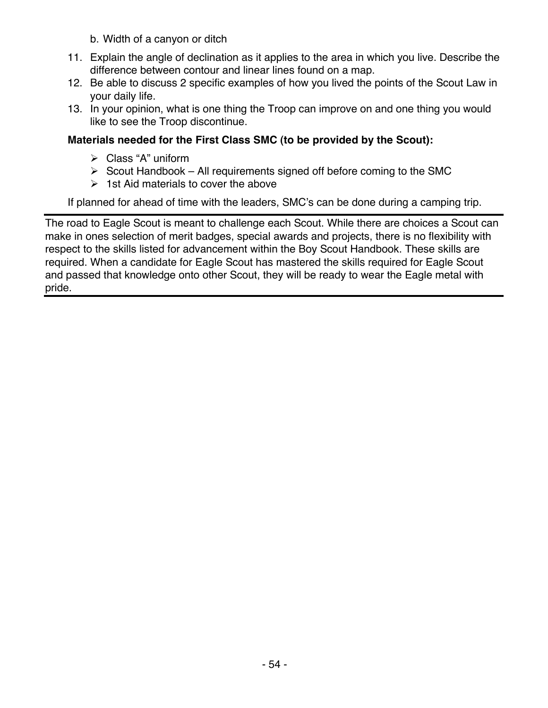b. Width of a canyon or ditch

- 11. Explain the angle of declination as it applies to the area in which you live. Describe the difference between contour and linear lines found on a map.
- 12. Be able to discuss 2 specific examples of how you lived the points of the Scout Law in your daily life.
- 13. In your opinion, what is one thing the Troop can improve on and one thing you would like to see the Troop discontinue.

#### **Materials needed for the First Class SMC (to be provided by the Scout):**

- $\triangleright$  Class "A" uniform
- $\triangleright$  Scout Handbook All requirements signed off before coming to the SMC
- $\geq 1$ st Aid materials to cover the above

If planned for ahead of time with the leaders, SMC's can be done during a camping trip.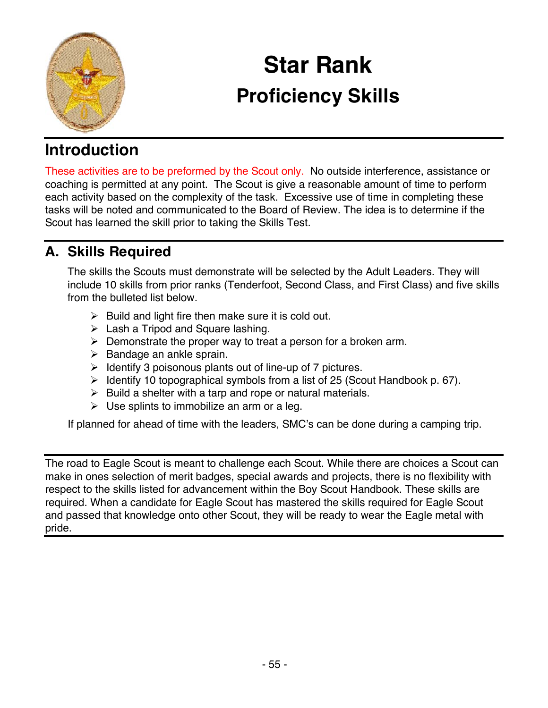

# **Star Rank Proficiency Skills**

## **Introduction**

These activities are to be preformed by the Scout only. No outside interference, assistance or coaching is permitted at any point. The Scout is give a reasonable amount of time to perform each activity based on the complexity of the task. Excessive use of time in completing these tasks will be noted and communicated to the Board of Review. The idea is to determine if the Scout has learned the skill prior to taking the Skills Test.

### **A. Skills Required**

The skills the Scouts must demonstrate will be selected by the Adult Leaders. They will include 10 skills from prior ranks (Tenderfoot, Second Class, and First Class) and five skills from the bulleted list below.

- $\triangleright$  Build and light fire then make sure it is cold out.
- $\triangleright$  Lash a Tripod and Square lashing.
- $\triangleright$  Demonstrate the proper way to treat a person for a broken arm.
- $\triangleright$  Bandage an ankle sprain.
- $\triangleright$  Identify 3 poisonous plants out of line-up of 7 pictures.
- $\triangleright$  Identify 10 topographical symbols from a list of 25 (Scout Handbook p. 67).
- $\triangleright$  Build a shelter with a tarp and rope or natural materials.
- $\triangleright$  Use splints to immobilize an arm or a leq.

If planned for ahead of time with the leaders, SMC's can be done during a camping trip.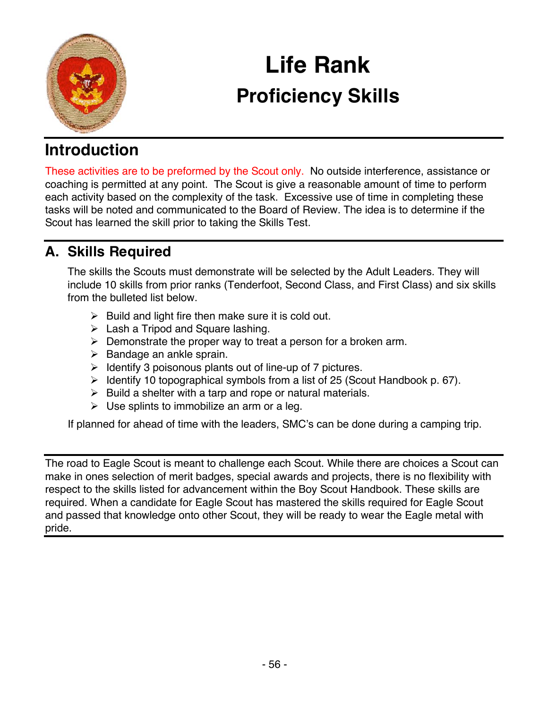

# **Life Rank Proficiency Skills**

## **Introduction**

These activities are to be preformed by the Scout only. No outside interference, assistance or coaching is permitted at any point. The Scout is give a reasonable amount of time to perform each activity based on the complexity of the task. Excessive use of time in completing these tasks will be noted and communicated to the Board of Review. The idea is to determine if the Scout has learned the skill prior to taking the Skills Test.

### **A. Skills Required**

The skills the Scouts must demonstrate will be selected by the Adult Leaders. They will include 10 skills from prior ranks (Tenderfoot, Second Class, and First Class) and six skills from the bulleted list below.

- $\triangleright$  Build and light fire then make sure it is cold out.
- $\triangleright$  Lash a Tripod and Square lashing.
- $\triangleright$  Demonstrate the proper way to treat a person for a broken arm.
- $\triangleright$  Bandage an ankle sprain.
- $\triangleright$  Identify 3 poisonous plants out of line-up of 7 pictures.
- $\triangleright$  Identify 10 topographical symbols from a list of 25 (Scout Handbook p. 67).
- $\triangleright$  Build a shelter with a tarp and rope or natural materials.
- $\triangleright$  Use splints to immobilize an arm or a leq.

If planned for ahead of time with the leaders, SMC's can be done during a camping trip.